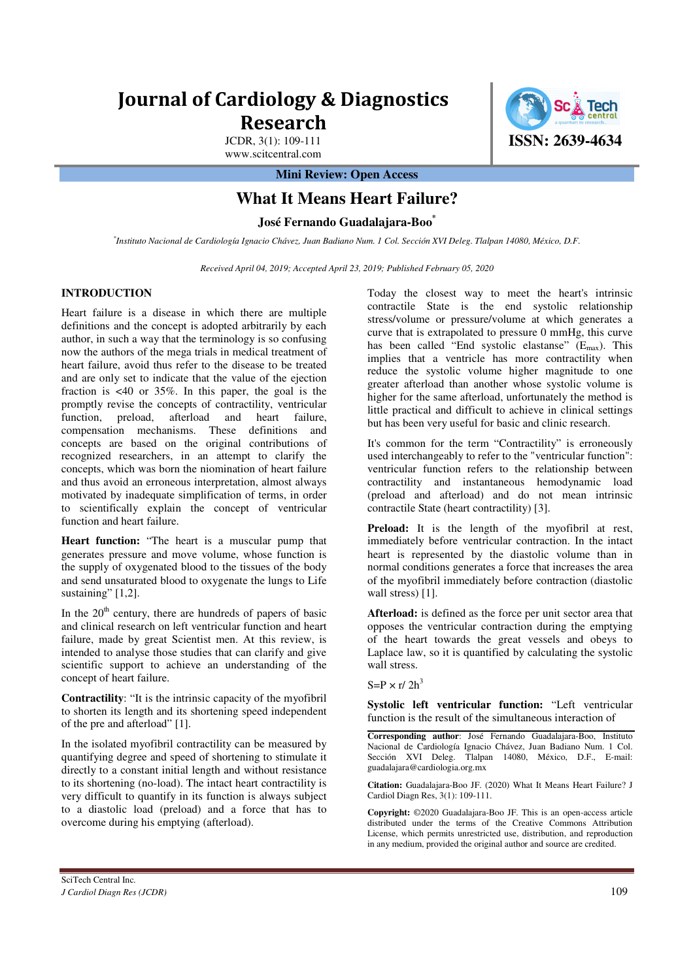# **Journal of Cardiology & Diagnostics Research**

JCDR, 3(1): 109-111 www.scitcentral.com

**Mini Review: Open Access** 

# **What It Means Heart Failure?**

**José Fernando Guadalajara-Boo\***

*\* Instituto Nacional de Cardiología Ignacio Chávez, Juan Badiano Num. 1 Col. Sección XVI Deleg. Tlalpan 14080, México, D.F.* 

*Received April 04, 2019; Accepted April 23, 2019; Published February 05, 2020* 

# **INTRODUCTION**

Heart failure is a disease in which there are multiple definitions and the concept is adopted arbitrarily by each author, in such a way that the terminology is so confusing now the authors of the mega trials in medical treatment of heart failure, avoid thus refer to the disease to be treated and are only set to indicate that the value of the ejection fraction is <40 or 35%. In this paper, the goal is the promptly revise the concepts of contractility, ventricular function, preload, afterload and heart failure, compensation mechanisms. These definitions and concepts are based on the original contributions of recognized researchers, in an attempt to clarify the concepts, which was born the niomination of heart failure and thus avoid an erroneous interpretation, almost always motivated by inadequate simplification of terms, in order to scientifically explain the concept of ventricular function and heart failure.

**Heart function:** "The heart is a muscular pump that generates pressure and move volume, whose function is the supply of oxygenated blood to the tissues of the body and send unsaturated blood to oxygenate the lungs to Life sustaining" [1,2].

In the  $20<sup>th</sup>$  century, there are hundreds of papers of basic and clinical research on left ventricular function and heart failure, made by great Scientist men. At this review, is intended to analyse those studies that can clarify and give scientific support to achieve an understanding of the concept of heart failure.

**Contractility**: "It is the intrinsic capacity of the myofibril to shorten its length and its shortening speed independent of the pre and afterload" [1].

In the isolated myofibril contractility can be measured by quantifying degree and speed of shortening to stimulate it directly to a constant initial length and without resistance to its shortening (no-load). The intact heart contractility is very difficult to quantify in its function is always subject to a diastolic load (preload) and a force that has to overcome during his emptying (afterload).

contractile State is the end systolic relationship stress/volume or pressure/volume at which generates a curve that is extrapolated to pressure 0 mmHg, this curve has been called "End systolic elastanse"  $(E_{\text{max}})$ . This implies that a ventricle has more contractility when reduce the systolic volume higher magnitude to one greater afterload than another whose systolic volume is higher for the same afterload, unfortunately the method is little practical and difficult to achieve in clinical settings but has been very useful for basic and clinic research. It's common for the term "Contractility" is erroneously

Today the closest way to meet the heart's intrinsic

used interchangeably to refer to the "ventricular function": ventricular function refers to the relationship between contractility and instantaneous hemodynamic load (preload and afterload) and do not mean intrinsic contractile State (heart contractility) [3].

**Preload:** It is the length of the myofibril at rest, immediately before ventricular contraction. In the intact heart is represented by the diastolic volume than in normal conditions generates a force that increases the area of the myofibril immediately before contraction (diastolic wall stress) [1].

**Afterload:** is defined as the force per unit sector area that opposes the ventricular contraction during the emptying of the heart towards the great vessels and obeys to Laplace law, so it is quantified by calculating the systolic wall stress.

 $S=P \times r/2h^3$ 

**Systolic left ventricular function:** "Left ventricular function is the result of the simultaneous interaction of

**Corresponding author**: José Fernando Guadalajara-Boo, Instituto Nacional de Cardiología Ignacio Chávez, Juan Badiano Num. 1 Col. Sección XVI Deleg. Tlalpan 14080, México, D.F., E-mail: guadalajara@cardiologia.org.mx

**Citation:** Guadalajara-Boo JF. (2020) What It Means Heart Failure? J Cardiol Diagn Res, 3(1): 109-111.

**Copyright:** ©2020 Guadalajara-Boo JF. This is an open-access article distributed under the terms of the Creative Commons Attribution License, which permits unrestricted use, distribution, and reproduction in any medium, provided the original author and source are credited.

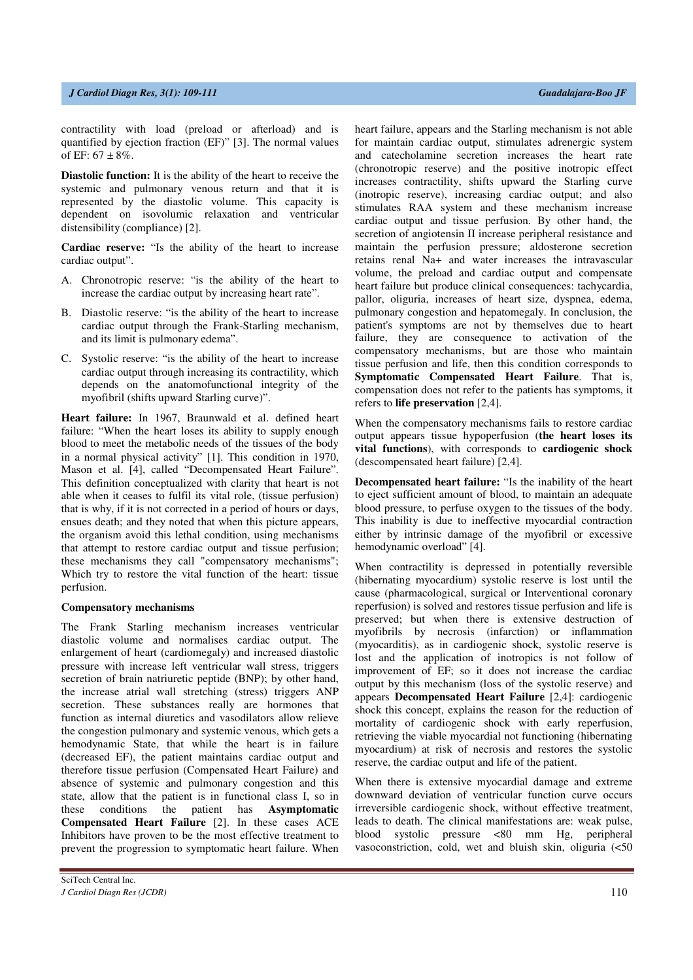contractility with load (preload or afterload) and is quantified by ejection fraction (EF)" [3]. The normal values of EF:  $67 \pm 8\%$ .

**Diastolic function:** It is the ability of the heart to receive the systemic and pulmonary venous return and that it is represented by the diastolic volume. This capacity is dependent on isovolumic relaxation and ventricular distensibility (compliance) [2].

**Cardiac reserve:** "Is the ability of the heart to increase cardiac output".

- A. Chronotropic reserve: "is the ability of the heart to increase the cardiac output by increasing heart rate".
- B. Diastolic reserve: "is the ability of the heart to increase cardiac output through the Frank-Starling mechanism, and its limit is pulmonary edema".
- C. Systolic reserve: "is the ability of the heart to increase cardiac output through increasing its contractility, which depends on the anatomofunctional integrity of the myofibril (shifts upward Starling curve)".

**Heart failure:** In 1967, Braunwald et al. defined heart failure: "When the heart loses its ability to supply enough blood to meet the metabolic needs of the tissues of the body in a normal physical activity" [1]. This condition in 1970, Mason et al. [4], called "Decompensated Heart Failure". This definition conceptualized with clarity that heart is not able when it ceases to fulfil its vital role, (tissue perfusion) that is why, if it is not corrected in a period of hours or days, ensues death; and they noted that when this picture appears, the organism avoid this lethal condition, using mechanisms that attempt to restore cardiac output and tissue perfusion; these mechanisms they call "compensatory mechanisms"; Which try to restore the vital function of the heart: tissue perfusion.

#### **Compensatory mechanisms**

The Frank Starling mechanism increases ventricular diastolic volume and normalises cardiac output. The enlargement of heart (cardiomegaly) and increased diastolic pressure with increase left ventricular wall stress, triggers secretion of brain natriuretic peptide (BNP); by other hand, the increase atrial wall stretching (stress) triggers ANP secretion. These substances really are hormones that function as internal diuretics and vasodilators allow relieve the congestion pulmonary and systemic venous, which gets a hemodynamic State, that while the heart is in failure (decreased EF), the patient maintains cardiac output and therefore tissue perfusion (Compensated Heart Failure) and absence of systemic and pulmonary congestion and this state, allow that the patient is in functional class I, so in these conditions the patient has **Asymptomatic Compensated Heart Failure** [2]. In these cases ACE Inhibitors have proven to be the most effective treatment to prevent the progression to symptomatic heart failure. When

heart failure, appears and the Starling mechanism is not able for maintain cardiac output, stimulates adrenergic system and catecholamine secretion increases the heart rate (chronotropic reserve) and the positive inotropic effect increases contractility, shifts upward the Starling curve (inotropic reserve), increasing cardiac output; and also stimulates RAA system and these mechanism increase cardiac output and tissue perfusion. By other hand, the secretion of angiotensin II increase peripheral resistance and maintain the perfusion pressure; aldosterone secretion retains renal Na+ and water increases the intravascular volume, the preload and cardiac output and compensate heart failure but produce clinical consequences: tachycardia, pallor, oliguria, increases of heart size, dyspnea, edema, pulmonary congestion and hepatomegaly. In conclusion, the patient's symptoms are not by themselves due to heart failure, they are consequence to activation of the compensatory mechanisms, but are those who maintain tissue perfusion and life, then this condition corresponds to **Symptomatic Compensated Heart Failure**. That is, compensation does not refer to the patients has symptoms, it refers to **life preservation** [2,4].

When the compensatory mechanisms fails to restore cardiac output appears tissue hypoperfusion (**the heart loses its vital functions**), with corresponds to **cardiogenic shock** (descompensated heart failure) [2,4].

**Decompensated heart failure:** "Is the inability of the heart to eject sufficient amount of blood, to maintain an adequate blood pressure, to perfuse oxygen to the tissues of the body. This inability is due to ineffective myocardial contraction either by intrinsic damage of the myofibril or excessive hemodynamic overload" [4].

When contractility is depressed in potentially reversible (hibernating myocardium) systolic reserve is lost until the cause (pharmacological, surgical or Interventional coronary reperfusion) is solved and restores tissue perfusion and life is preserved; but when there is extensive destruction of myofibrils by necrosis (infarction) or inflammation (myocarditis), as in cardiogenic shock, systolic reserve is lost and the application of inotropics is not follow of improvement of EF; so it does not increase the cardiac output by this mechanism (loss of the systolic reserve) and appears **Decompensated Heart Failure** [2,4]: cardiogenic shock this concept, explains the reason for the reduction of mortality of cardiogenic shock with early reperfusion, retrieving the viable myocardial not functioning (hibernating myocardium) at risk of necrosis and restores the systolic reserve, the cardiac output and life of the patient.

When there is extensive myocardial damage and extreme downward deviation of ventricular function curve occurs irreversible cardiogenic shock, without effective treatment, leads to death. The clinical manifestations are: weak pulse, blood systolic pressure <80 mm Hg, peripheral vasoconstriction, cold, wet and bluish skin, oliguria (<50